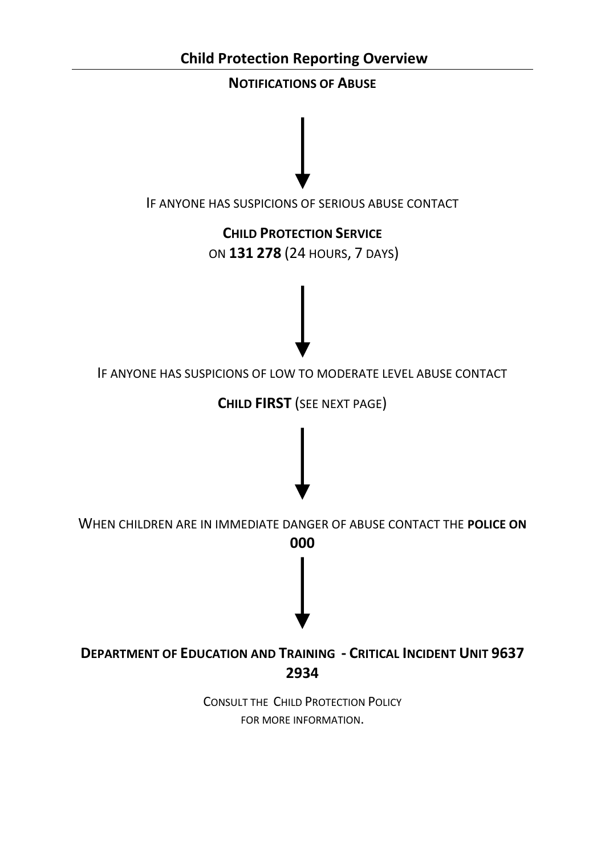

CONSULT THE CHILD PROTECTION POLICY FOR MORE INFORMATION.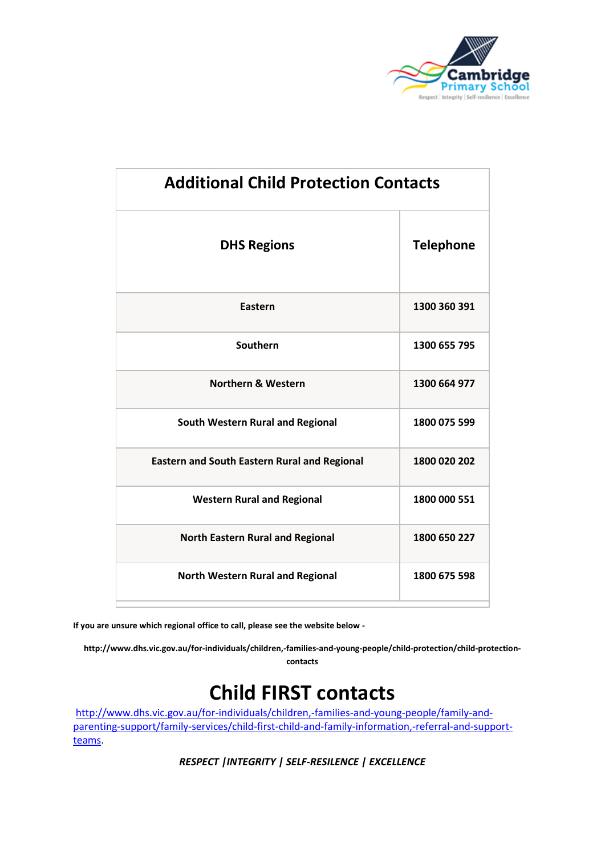

| <b>Additional Child Protection Contacts</b>         |                  |  |
|-----------------------------------------------------|------------------|--|
| <b>DHS Regions</b>                                  | <b>Telephone</b> |  |
| <b>Eastern</b>                                      | 1300 360 391     |  |
| Southern                                            | 1300 655 795     |  |
| <b>Northern &amp; Western</b>                       | 1300 664 977     |  |
| <b>South Western Rural and Regional</b>             | 1800 075 599     |  |
| <b>Eastern and South Eastern Rural and Regional</b> | 1800 020 202     |  |
| <b>Western Rural and Regional</b>                   | 1800 000 551     |  |
| <b>North Eastern Rural and Regional</b>             | 1800 650 227     |  |
| <b>North Western Rural and Regional</b>             | 1800 675 598     |  |
|                                                     |                  |  |

**If you are unsure which regional office to call, please see the website below -**

**http://www.dhs.vic.gov.au/for-individuals/children,-families-and-young-people/child-protection/child-protectioncontacts**

# **Child FIRST contacts**

[http://www.dhs.vic.gov.au/for-individuals/children,-families-and-young-people/family-and](http://www.dhs.vic.gov.au/for-individuals/children,-families-and-young-people/family-and-parenting-support/family-services/child-first-child-and-family-information,-referral-and-support-teams)[parenting-support/family-services/child-first-child-and-family-information,-referral-and-support](http://www.dhs.vic.gov.au/for-individuals/children,-families-and-young-people/family-and-parenting-support/family-services/child-first-child-and-family-information,-referral-and-support-teams)[teams.](http://www.dhs.vic.gov.au/for-individuals/children,-families-and-young-people/family-and-parenting-support/family-services/child-first-child-and-family-information,-referral-and-support-teams)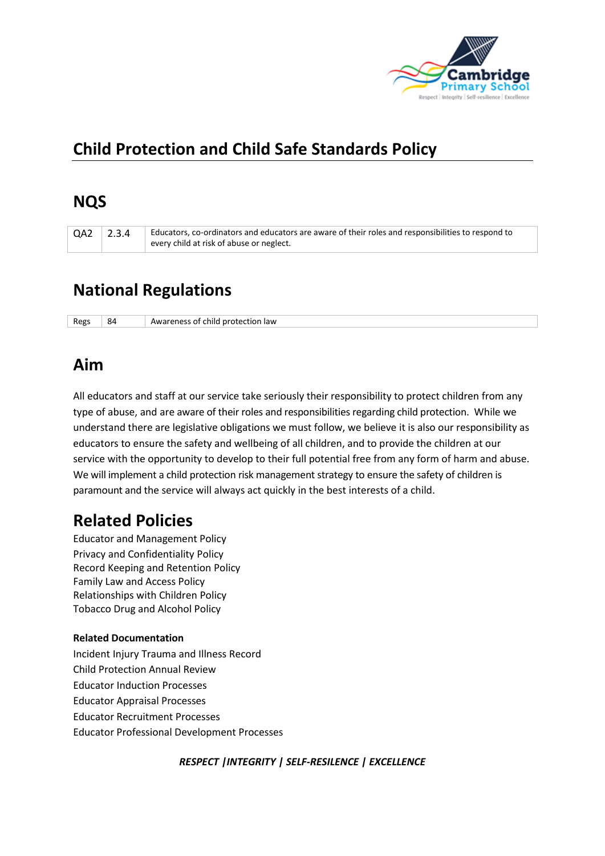

# **Child Protection and Child Safe Standards Policy**

# **NQS**

|  | $QA2$ 2.3.4 | Educators, co-ordinators and educators are aware of their roles and responsibilities to respond to<br>every child at risk of abuse or neglect. |
|--|-------------|------------------------------------------------------------------------------------------------------------------------------------------------|
|--|-------------|------------------------------------------------------------------------------------------------------------------------------------------------|

# **National Regulations**

| Regs | 84 | law<br>hılr<br>ΩŤ<br>LEIOP.<br>nrotec<br>renes.<br>`\\\\. |
|------|----|-----------------------------------------------------------|
|      |    |                                                           |

# **Aim**

All educators and staff at our service take seriously their responsibility to protect children from any type of abuse, and are aware of their roles and responsibilities regarding child protection. While we understand there are legislative obligations we must follow, we believe it is also our responsibility as educators to ensure the safety and wellbeing of all children, and to provide the children at our service with the opportunity to develop to their full potential free from any form of harm and abuse. We will implement a child protection risk management strategy to ensure the safety of children is paramount and the service will always act quickly in the best interests of a child.

# **Related Policies**

Educator and Management Policy Privacy and Confidentiality Policy Record Keeping and Retention Policy Family Law and Access Policy Relationships with Children Policy Tobacco Drug and Alcohol Policy

# **Related Documentation**

Incident Injury Trauma and Illness Record Child Protection Annual Review Educator Induction Processes Educator Appraisal Processes Educator Recruitment Processes Educator Professional Development Processes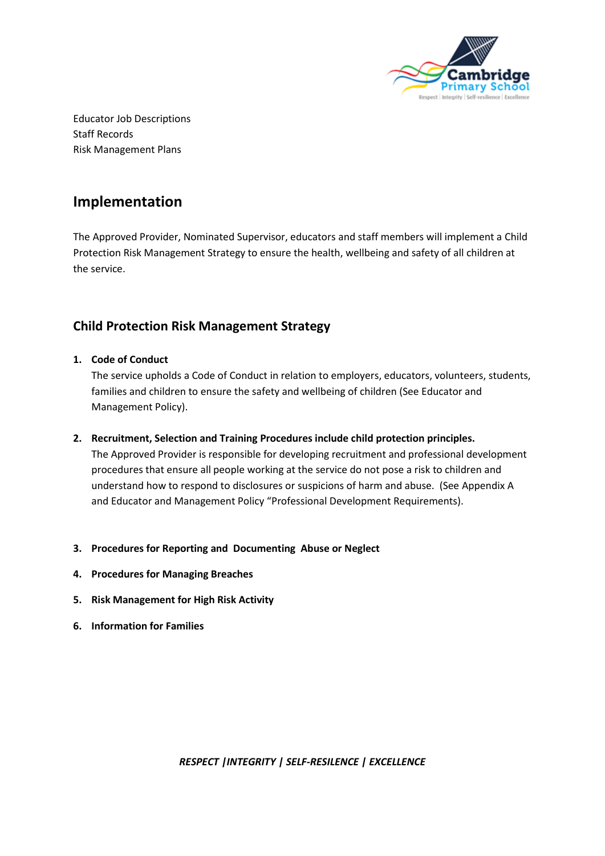

Educator Job Descriptions Staff Records Risk Management Plans

# **Implementation**

The Approved Provider, Nominated Supervisor, educators and staff members will implement a Child Protection Risk Management Strategy to ensure the health, wellbeing and safety of all children at the service.

# **Child Protection Risk Management Strategy**

# **1. Code of Conduct**

The service upholds a Code of Conduct in relation to employers, educators, volunteers, students, families and children to ensure the safety and wellbeing of children (See Educator and Management Policy).

- **2. Recruitment, Selection and Training Procedures include child protection principles.** The Approved Provider is responsible for developing recruitment and professional development procedures that ensure all people working at the service do not pose a risk to children and understand how to respond to disclosures or suspicions of harm and abuse. (See Appendix A and Educator and Management Policy "Professional Development Requirements).
- **3. Procedures for Reporting and Documenting Abuse or Neglect**
- **4. Procedures for Managing Breaches**
- **5. Risk Management for High Risk Activity**
- **6. Information for Families**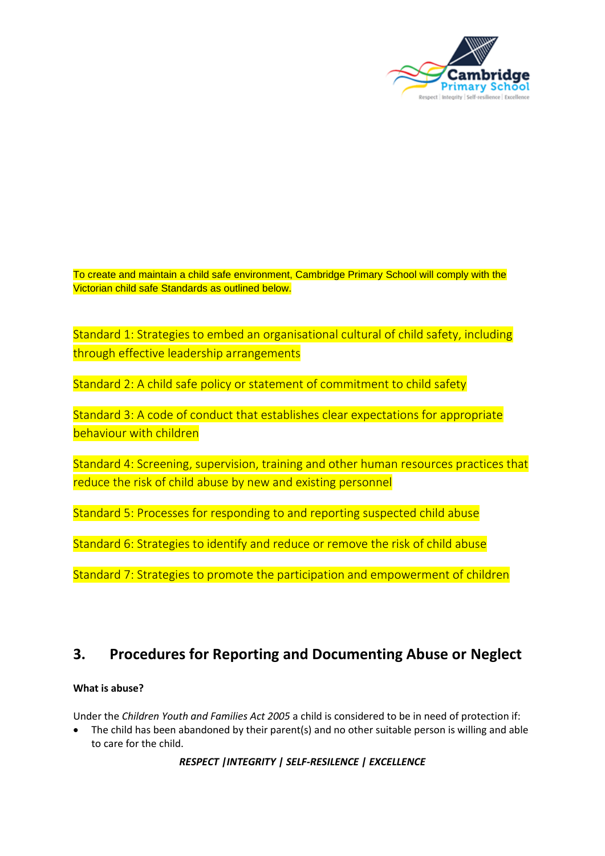

To create and maintain a child safe environment, Cambridge Primary School will comply with the Victorian child safe Standards as outlined below.

Standard 1: Strategies to embed an organisational cultural of child safety, including through effective leadership arrangements

Standard 2: A child safe policy or statement of commitment to child safety

Standard 3: A code of conduct that establishes clear expectations for appropriate behaviour with children

Standard 4: Screening, supervision, training and other human resources practices that reduce the risk of child abuse by new and existing personnel

Standard 5: Processes for responding to and reporting suspected child abuse

Standard 6: Strategies to identify and reduce or remove the risk of child abuse

Standard 7: Strategies to promote the participation and empowerment of children

# **3. Procedures for Reporting and Documenting Abuse or Neglect**

# **What is abuse?**

Under the *Children Youth and Families Act 2005* a child is considered to be in need of protection if:

• The child has been abandoned by their parent(s) and no other suitable person is willing and able to care for the child.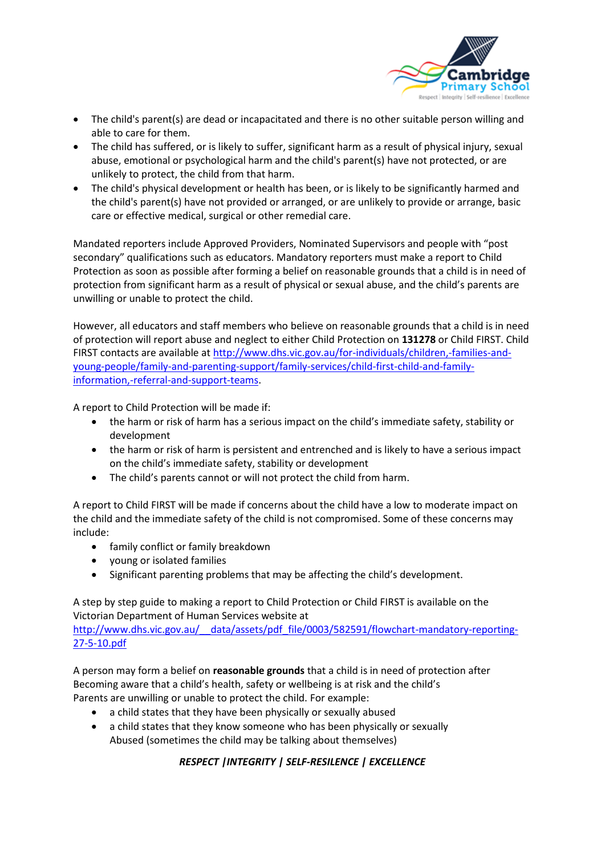

- The child's parent(s) are dead or incapacitated and there is no other suitable person willing and able to care for them.
- The child has suffered, or is likely to suffer, significant harm as a result of physical injury, sexual abuse, emotional or psychological harm and the child's parent(s) have not protected, or are unlikely to protect, the child from that harm.
- The child's physical development or health has been, or is likely to be significantly harmed and the child's parent(s) have not provided or arranged, or are unlikely to provide or arrange, basic care or effective medical, surgical or other remedial care.

Mandated reporters include Approved Providers, Nominated Supervisors and people with "post secondary" qualifications such as educators. Mandatory reporters must make a report to Child Protection as soon as possible after forming a belief on reasonable grounds that a child is in need of protection from significant harm as a result of physical or sexual abuse, and the child's parents are unwilling or unable to protect the child.

However, all educators and staff members who believe on reasonable grounds that a child is in need of protection will report abuse and neglect to either Child Protection on **131278** or Child FIRST. Child FIRST contacts are available a[t http://www.dhs.vic.gov.au/for-individuals/children,-families-and](http://www.dhs.vic.gov.au/for-individuals/children,-families-and-young-people/family-and-parenting-support/family-services/child-first-child-and-family-information,-referral-and-support-teams)[young-people/family-and-parenting-support/family-services/child-first-child-and-family](http://www.dhs.vic.gov.au/for-individuals/children,-families-and-young-people/family-and-parenting-support/family-services/child-first-child-and-family-information,-referral-and-support-teams)[information,-referral-and-support-teams.](http://www.dhs.vic.gov.au/for-individuals/children,-families-and-young-people/family-and-parenting-support/family-services/child-first-child-and-family-information,-referral-and-support-teams)

A report to Child Protection will be made if:

- the harm or risk of harm has a serious impact on the child's immediate safety, stability or development
- the harm or risk of harm is persistent and entrenched and is likely to have a serious impact on the child's immediate safety, stability or development
- The child's parents cannot or will not protect the child from harm.

A report to Child FIRST will be made if concerns about the child have a low to moderate impact on the child and the immediate safety of the child is not compromised. Some of these concerns may include:

- family conflict or family breakdown
- young or isolated families
- Significant parenting problems that may be affecting the child's development.

A step by step guide to making a report to Child Protection or Child FIRST is available on the Victorian Department of Human Services website at

[http://www.dhs.vic.gov.au/\\_\\_data/assets/pdf\\_file/0003/582591/flowchart-mandatory-reporting-](http://www.dhs.vic.gov.au/__data/assets/pdf_file/0003/582591/flowchart-mandatory-reporting-27-5-10.pdf)[27-5-10.pdf](http://www.dhs.vic.gov.au/__data/assets/pdf_file/0003/582591/flowchart-mandatory-reporting-27-5-10.pdf)

A person may form a belief on **reasonable grounds** that a child is in need of protection after Becoming aware that a child's health, safety or wellbeing is at risk and the child's Parents are unwilling or unable to protect the child. For example:

- a child states that they have been physically or sexually abused
- a child states that they know someone who has been physically or sexually Abused (sometimes the child may be talking about themselves)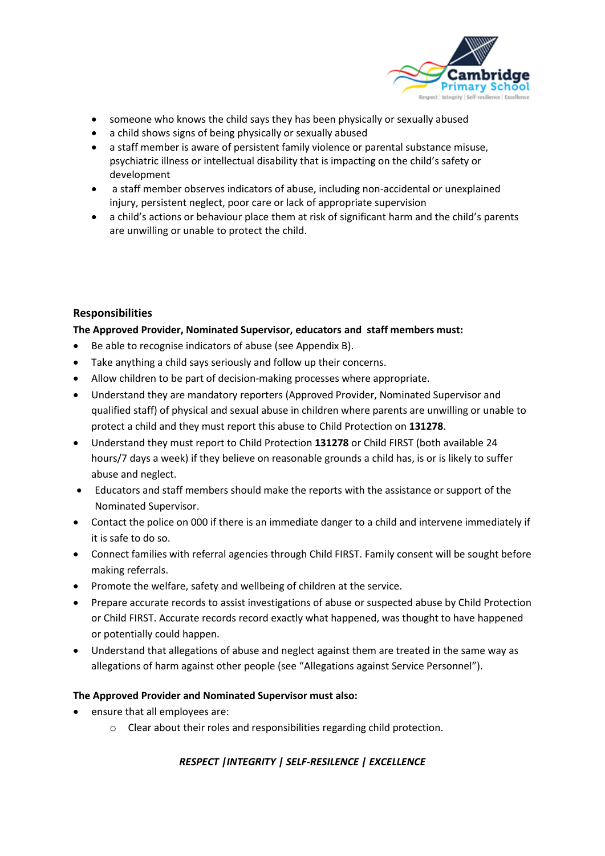

- someone who knows the child says they has been physically or sexually abused
- a child shows signs of being physically or sexually abused
- a staff member is aware of persistent family violence or parental substance misuse, psychiatric illness or intellectual disability that is impacting on the child's safety or development
- a staff member observes indicators of abuse, including non-accidental or unexplained injury, persistent neglect, poor care or lack of appropriate supervision
- a child's actions or behaviour place them at risk of significant harm and the child's parents are unwilling or unable to protect the child.

# **Responsibilities**

# **The Approved Provider, Nominated Supervisor, educators and staff members must:**

- Be able to recognise indicators of abuse (see Appendix B).
- Take anything a child says seriously and follow up their concerns.
- Allow children to be part of decision-making processes where appropriate.
- Understand they are mandatory reporters (Approved Provider, Nominated Supervisor and qualified staff) of physical and sexual abuse in children where parents are unwilling or unable to protect a child and they must report this abuse to Child Protection on **131278**.
- Understand they must report to Child Protection **131278** or Child FIRST (both available 24 hours/7 days a week) if they believe on reasonable grounds a child has, is or is likely to suffer abuse and neglect.
- Educators and staff members should make the reports with the assistance or support of the Nominated Supervisor.
- Contact the police on 000 if there is an immediate danger to a child and intervene immediately if it is safe to do so.
- Connect families with referral agencies through Child FIRST. Family consent will be sought before making referrals.
- Promote the welfare, safety and wellbeing of children at the service.
- Prepare accurate records to assist investigations of abuse or suspected abuse by Child Protection or Child FIRST. Accurate records record exactly what happened, was thought to have happened or potentially could happen.
- Understand that allegations of abuse and neglect against them are treated in the same way as allegations of harm against other people (see "Allegations against Service Personnel").

# **The Approved Provider and Nominated Supervisor must also:**

- ensure that all employees are:
	- o Clear about their roles and responsibilities regarding child protection.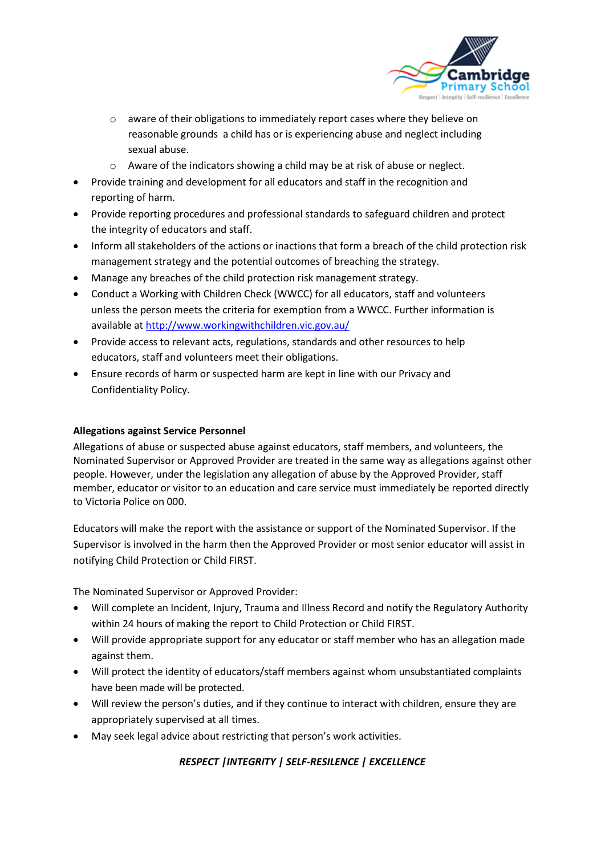

- o aware of their obligations to immediately report cases where they believe on reasonable grounds a child has or is experiencing abuse and neglect including sexual abuse.
- o Aware of the indicators showing a child may be at risk of abuse or neglect.
- Provide training and development for all educators and staff in the recognition and reporting of harm.
- Provide reporting procedures and professional standards to safeguard children and protect the integrity of educators and staff.
- Inform all stakeholders of the actions or inactions that form a breach of the child protection risk management strategy and the potential outcomes of breaching the strategy.
- Manage any breaches of the child protection risk management strategy.
- Conduct a Working with Children Check (WWCC) for all educators, staff and volunteers unless the person meets the criteria for exemption from a WWCC. Further information is available at<http://www.workingwithchildren.vic.gov.au/>
- Provide access to relevant acts, regulations, standards and other resources to help educators, staff and volunteers meet their obligations.
- Ensure records of harm or suspected harm are kept in line with our Privacy and Confidentiality Policy.

# **Allegations against Service Personnel**

Allegations of abuse or suspected abuse against educators, staff members, and volunteers, the Nominated Supervisor or Approved Provider are treated in the same way as allegations against other people. However, under the legislation any allegation of abuse by the Approved Provider, staff member, educator or visitor to an education and care service must immediately be reported directly to Victoria Police on 000.

Educators will make the report with the assistance or support of the Nominated Supervisor. If the Supervisor is involved in the harm then the Approved Provider or most senior educator will assist in notifying Child Protection or Child FIRST.

The Nominated Supervisor or Approved Provider:

- Will complete an Incident, Injury, Trauma and Illness Record and notify the Regulatory Authority within 24 hours of making the report to Child Protection or Child FIRST.
- Will provide appropriate support for any educator or staff member who has an allegation made against them.
- Will protect the identity of educators/staff members against whom unsubstantiated complaints have been made will be protected.
- Will review the person's duties, and if they continue to interact with children, ensure they are appropriately supervised at all times.
- May seek legal advice about restricting that person's work activities.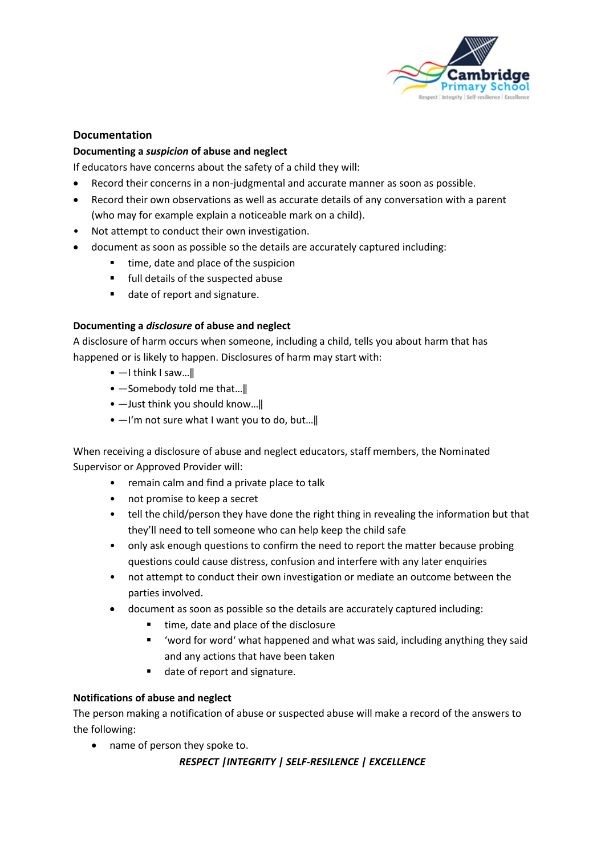

# **Documentation**

### **Documenting a** *suspicion* **of abuse and neglect**

If educators have concerns about the safety of a child they will:

- Record their concerns in a non-judgmental and accurate manner as soon as possible.
- Record their own observations as well as accurate details of any conversation with a parent (who may for example explain a noticeable mark on a child).
- Not attempt to conduct their own investigation.
- document as soon as possible so the details are accurately captured including:
	- time, date and place of the suspicion
	- full details of the suspected abuse
	- date of report and signature.

### **Documenting a** *disclosure* **of abuse and neglect**

A disclosure of harm occurs when someone, including a child, tells you about harm that has happened or is likely to happen. Disclosures of harm may start with:

- —I think I saw...
- -Somebody told me that...
- $-$  Just think you should know...
- $-$ I'm not sure what I want you to do, but...

When receiving a disclosure of abuse and neglect educators, staff members, the Nominated Supervisor or Approved Provider will:

- remain calm and find a private place to talk
- not promise to keep a secret
- tell the child/person they have done the right thing in revealing the information but that they'll need to tell someone who can help keep the child safe
- only ask enough questions to confirm the need to report the matter because probing questions could cause distress, confusion and interfere with any later enquiries
- not attempt to conduct their own investigation or mediate an outcome between the parties involved.
- document as soon as possible so the details are accurately captured including:
	- time, date and place of the disclosure
	- 'word for word' what happened and what was said, including anything they said and any actions that have been taken
	- date of report and signature.

#### **Notifications of abuse and neglect**

The person making a notification of abuse or suspected abuse will make a record of the answers to the following:

• name of person they spoke to.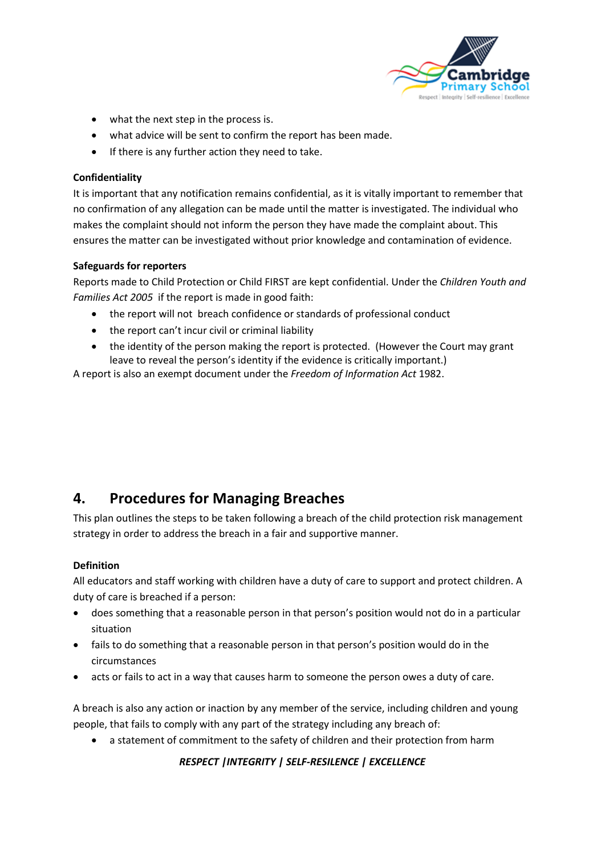

- what the next step in the process is.
- what advice will be sent to confirm the report has been made.
- If there is any further action they need to take.

### **Confidentiality**

It is important that any notification remains confidential, as it is vitally important to remember that no confirmation of any allegation can be made until the matter is investigated. The individual who makes the complaint should not inform the person they have made the complaint about. This ensures the matter can be investigated without prior knowledge and contamination of evidence.

### **Safeguards for reporters**

Reports made to Child Protection or Child FIRST are kept confidential. Under the *Children Youth and Families Act 2005* if the report is made in good faith:

- the report will not breach confidence or standards of professional conduct
- the report can't incur civil or criminal liability
- the identity of the person making the report is protected. (However the Court may grant leave to reveal the person's identity if the evidence is critically important.)

A report is also an exempt document under the *Freedom of Information Act* 1982.

# **4. Procedures for Managing Breaches**

This plan outlines the steps to be taken following a breach of the child protection risk management strategy in order to address the breach in a fair and supportive manner.

# **Definition**

All educators and staff working with children have a duty of care to support and protect children. A duty of care is breached if a person:

- does something that a reasonable person in that person's position would not do in a particular situation
- fails to do something that a reasonable person in that person's position would do in the circumstances
- acts or fails to act in a way that causes harm to someone the person owes a duty of care.

A breach is also any action or inaction by any member of the service, including children and young people, that fails to comply with any part of the strategy including any breach of:

• a statement of commitment to the safety of children and their protection from harm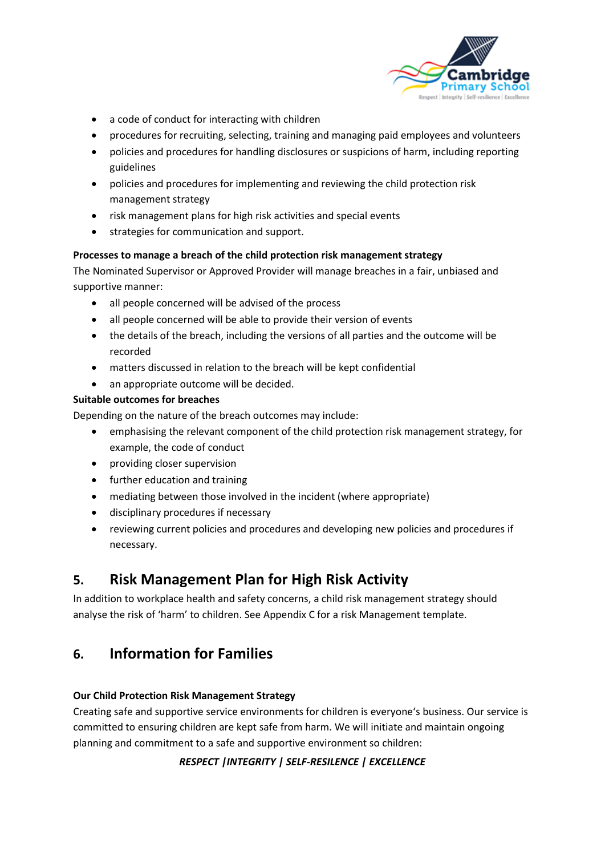

- a code of conduct for interacting with children
- procedures for recruiting, selecting, training and managing paid employees and volunteers
- policies and procedures for handling disclosures or suspicions of harm, including reporting guidelines
- policies and procedures for implementing and reviewing the child protection risk management strategy
- risk management plans for high risk activities and special events
- strategies for communication and support.

### **Processes to manage a breach of the child protection risk management strategy**

The Nominated Supervisor or Approved Provider will manage breaches in a fair, unbiased and supportive manner:

- all people concerned will be advised of the process
- all people concerned will be able to provide their version of events
- the details of the breach, including the versions of all parties and the outcome will be recorded
- matters discussed in relation to the breach will be kept confidential
- an appropriate outcome will be decided.

# **Suitable outcomes for breaches**

Depending on the nature of the breach outcomes may include:

- emphasising the relevant component of the child protection risk management strategy, for example, the code of conduct
- providing closer supervision
- further education and training
- mediating between those involved in the incident (where appropriate)
- disciplinary procedures if necessary
- reviewing current policies and procedures and developing new policies and procedures if necessary.

# **5. Risk Management Plan for High Risk Activity**

In addition to workplace health and safety concerns, a child risk management strategy should analyse the risk of 'harm' to children. See Appendix C for a risk Management template.

# **6. Information for Families**

# **Our Child Protection Risk Management Strategy**

Creating safe and supportive service environments for children is everyone's business. Our service is committed to ensuring children are kept safe from harm. We will initiate and maintain ongoing planning and commitment to a safe and supportive environment so children: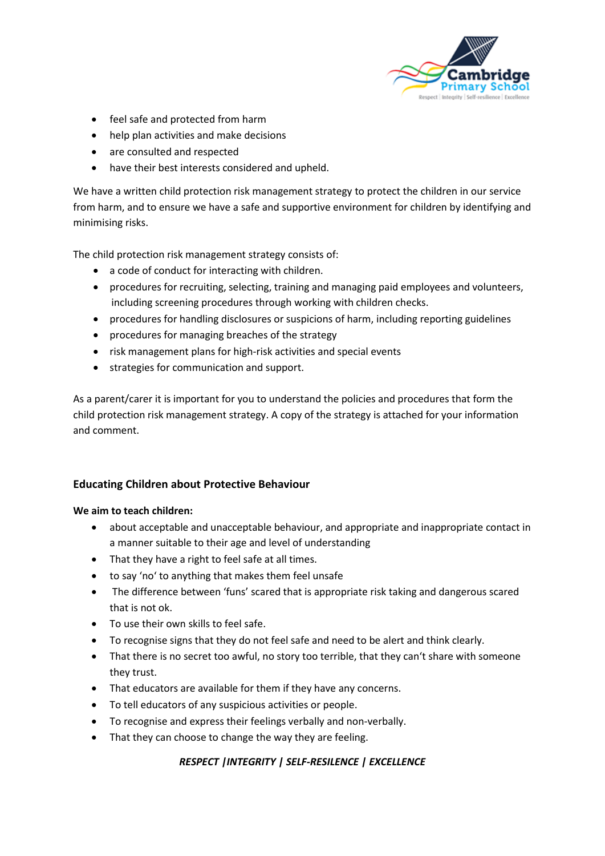

- feel safe and protected from harm
- help plan activities and make decisions
- are consulted and respected
- have their best interests considered and upheld.

We have a written child protection risk management strategy to protect the children in our service from harm, and to ensure we have a safe and supportive environment for children by identifying and minimising risks.

The child protection risk management strategy consists of:

- a code of conduct for interacting with children.
- procedures for recruiting, selecting, training and managing paid employees and volunteers, including screening procedures through working with children checks.
- procedures for handling disclosures or suspicions of harm, including reporting guidelines
- procedures for managing breaches of the strategy
- risk management plans for high-risk activities and special events
- strategies for communication and support.

As a parent/carer it is important for you to understand the policies and procedures that form the child protection risk management strategy. A copy of the strategy is attached for your information and comment.

# **Educating Children about Protective Behaviour**

#### **We aim to teach children:**

- about acceptable and unacceptable behaviour, and appropriate and inappropriate contact in a manner suitable to their age and level of understanding
- That they have a right to feel safe at all times.
- to say 'no' to anything that makes them feel unsafe
- The difference between 'funs' scared that is appropriate risk taking and dangerous scared that is not ok.
- To use their own skills to feel safe.
- To recognise signs that they do not feel safe and need to be alert and think clearly.
- That there is no secret too awful, no story too terrible, that they can't share with someone they trust.
- That educators are available for them if they have any concerns.
- To tell educators of any suspicious activities or people.
- To recognise and express their feelings verbally and non-verbally.
- That they can choose to change the way they are feeling.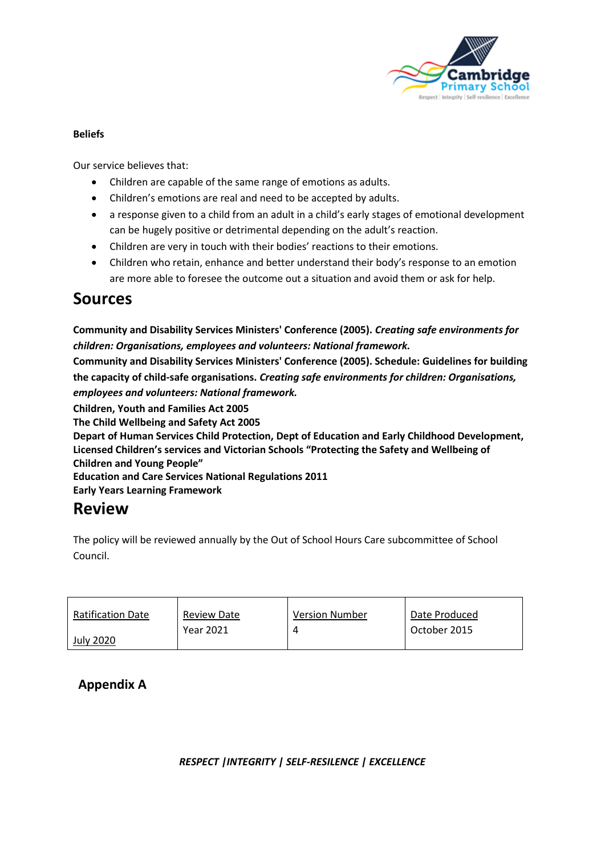

### **Beliefs**

Our service believes that:

- Children are capable of the same range of emotions as adults.
- Children's emotions are real and need to be accepted by adults.
- a response given to a child from an adult in a child's early stages of emotional development can be hugely positive or detrimental depending on the adult's reaction.
- Children are very in touch with their bodies' reactions to their emotions.
- Children who retain, enhance and better understand their body's response to an emotion are more able to foresee the outcome out a situation and avoid them or ask for help.

# **Sources**

**Community and Disability Services Ministers' Conference (2005).** *Creating safe environments for children: Organisations, employees and volunteers: National framework.* 

**Community and Disability Services Ministers' Conference (2005). Schedule: Guidelines for building the capacity of child-safe organisations.** *Creating safe environments for children: Organisations, employees and volunteers: National framework.* 

**Children, Youth and Families Act 2005**

**The Child Wellbeing and Safety Act 2005**

**Depart of Human Services Child Protection, Dept of Education and Early Childhood Development, Licensed Children's services and Victorian Schools "Protecting the Safety and Wellbeing of Children and Young People"**

**Education and Care Services National Regulations 2011**

**Early Years Learning Framework**

# **Review**

The policy will be reviewed annually by the Out of School Hours Care subcommittee of School Council.

| <b>Ratification Date</b> | <b>Review Date</b> | <b>Version Number</b> | Date Produced |
|--------------------------|--------------------|-----------------------|---------------|
| <b>July 2020</b>         | <b>Year 2021</b>   |                       | October 2015  |

**Appendix A**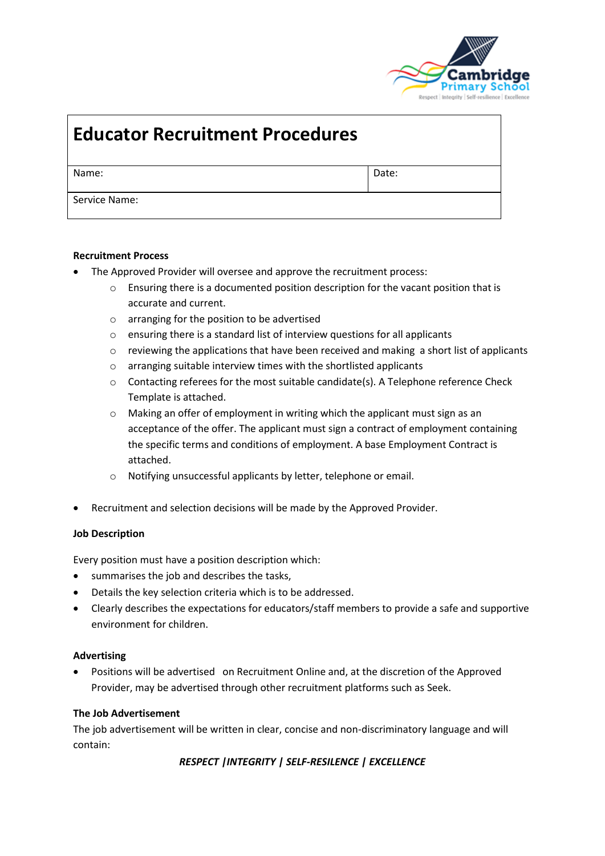

# **Educator Recruitment Procedures**

Name: Date:

Service Name:

### **Recruitment Process**

- The Approved Provider will oversee and approve the recruitment process:
	- o Ensuring there is a documented position description for the vacant position that is accurate and current.
	- o arranging for the position to be advertised
	- o ensuring there is a standard list of interview questions for all applicants
	- $\circ$  reviewing the applications that have been received and making a short list of applicants
	- o arranging suitable interview times with the shortlisted applicants
	- $\circ$  Contacting referees for the most suitable candidate(s). A Telephone reference Check Template is attached.
	- o Making an offer of employment in writing which the applicant must sign as an acceptance of the offer. The applicant must sign a contract of employment containing the specific terms and conditions of employment. A base Employment Contract is attached.
	- o Notifying unsuccessful applicants by letter, telephone or email.
- Recruitment and selection decisions will be made by the Approved Provider.

#### **Job Description**

Every position must have a position description which:

- summarises the job and describes the tasks,
- Details the key selection criteria which is to be addressed.
- Clearly describes the expectations for educators/staff members to provide a safe and supportive environment for children.

#### **Advertising**

• Positions will be advertised on Recruitment Online and, at the discretion of the Approved Provider, may be advertised through other recruitment platforms such as Seek.

#### **The Job Advertisement**

The job advertisement will be written in clear, concise and non-discriminatory language and will contain: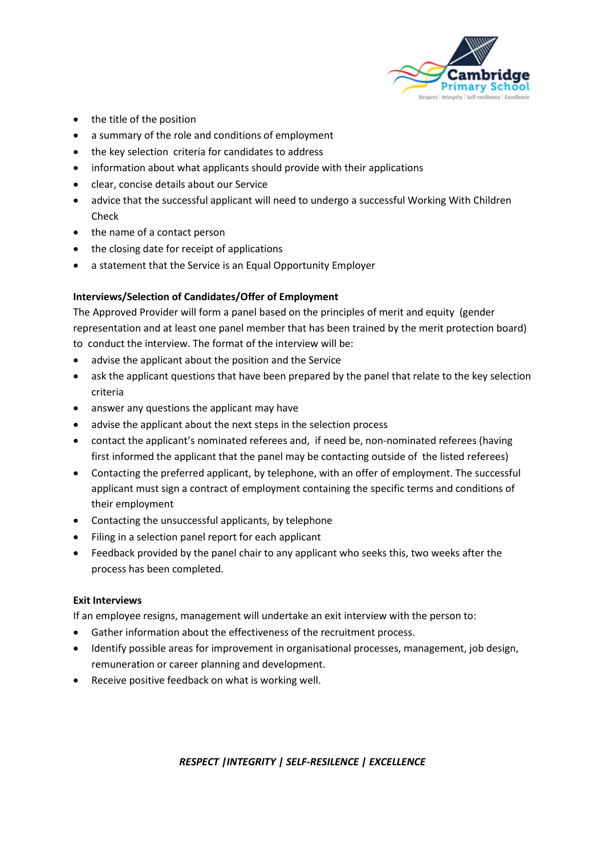

- the title of the position
- a summary of the role and conditions of employment
- the key selection criteria for candidates to address
- information about what applicants should provide with their applications
- clear, concise details about our Service
- advice that the successful applicant will need to undergo a successful Working With Children Check
- the name of a contact person
- the closing date for receipt of applications
- a statement that the Service is an Equal Opportunity Employer

# **Interviews/Selection of Candidates/Offer of Employment**

The Approved Provider will form a panel based on the principles of merit and equity (gender representation and at least one panel member that has been trained by the merit protection board) to conduct the interview. The format of the interview will be:

- advise the applicant about the position and the Service
- ask the applicant questions that have been prepared by the panel that relate to the key selection criteria
- answer any questions the applicant may have
- advise the applicant about the next steps in the selection process
- contact the applicant's nominated referees and, if need be, non-nominated referees (having first informed the applicant that the panel may be contacting outside of the listed referees)
- Contacting the preferred applicant, by telephone, with an offer of employment. The successful applicant must sign a contract of employment containing the specific terms and conditions of their employment
- Contacting the unsuccessful applicants, by telephone
- Filing in a selection panel report for each applicant
- Feedback provided by the panel chair to any applicant who seeks this, two weeks after the process has been completed.

# **Exit Interviews**

If an employee resigns, management will undertake an exit interview with the person to:

- Gather information about the effectiveness of the recruitment process.
- Identify possible areas for improvement in organisational processes, management, job design, remuneration or career planning and development.
- Receive positive feedback on what is working well.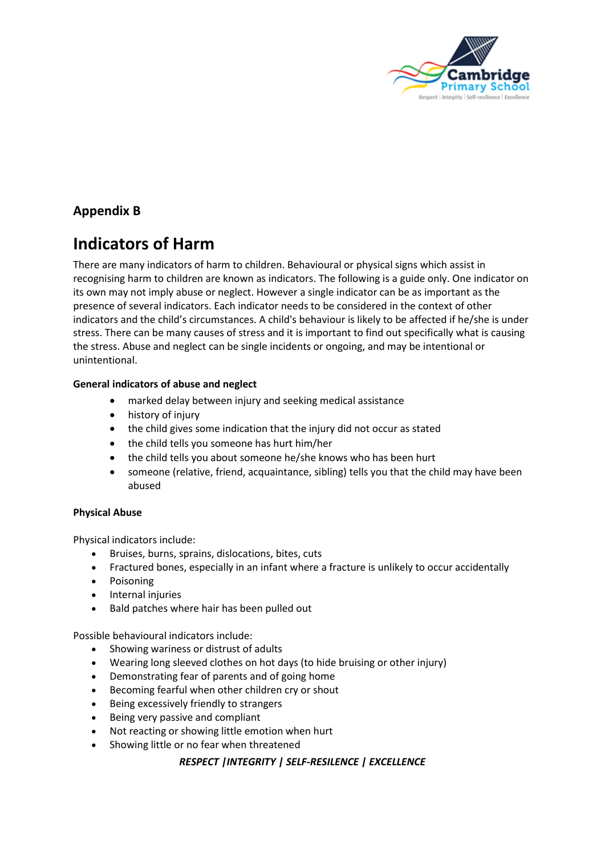

# **Appendix B**

# **Indicators of Harm**

There are many indicators of harm to children. Behavioural or physical signs which assist in recognising harm to children are known as indicators. The following is a guide only. One indicator on its own may not imply abuse or neglect. However a single indicator can be as important as the presence of several indicators. Each indicator needs to be considered in the context of other indicators and the child's circumstances. A child's behaviour is likely to be affected if he/she is under stress. There can be many causes of stress and it is important to find out specifically what is causing the stress. Abuse and neglect can be single incidents or ongoing, and may be intentional or unintentional.

# **General indicators of abuse and neglect**

- marked delay between injury and seeking medical assistance
- history of injury
- the child gives some indication that the injury did not occur as stated
- the child tells you someone has hurt him/her
- the child tells you about someone he/she knows who has been hurt
- someone (relative, friend, acquaintance, sibling) tells you that the child may have been abused

# **Physical Abuse**

Physical indicators include:

- Bruises, burns, sprains, dislocations, bites, cuts
- Fractured bones, especially in an infant where a fracture is unlikely to occur accidentally
- Poisoning
- Internal injuries
- Bald patches where hair has been pulled out

Possible behavioural indicators include:

- Showing wariness or distrust of adults
- Wearing long sleeved clothes on hot days (to hide bruising or other injury)
- Demonstrating fear of parents and of going home
- Becoming fearful when other children cry or shout
- Being excessively friendly to strangers
- Being very passive and compliant
- Not reacting or showing little emotion when hurt
- Showing little or no fear when threatened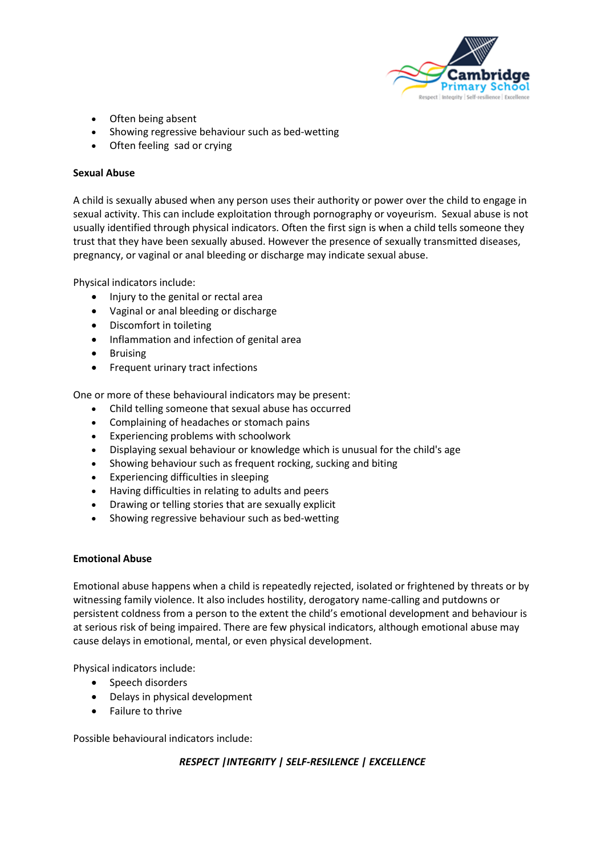

- Often being absent
- Showing regressive behaviour such as bed-wetting
- Often feeling sad or crying

#### **Sexual Abuse**

A child is sexually abused when any person uses their authority or power over the child to engage in sexual activity. This can include exploitation through pornography or voyeurism. Sexual abuse is not usually identified through physical indicators. Often the first sign is when a child tells someone they trust that they have been sexually abused. However the presence of sexually transmitted diseases, pregnancy, or vaginal or anal bleeding or discharge may indicate sexual abuse.

Physical indicators include:

- Injury to the genital or rectal area
- Vaginal or anal bleeding or discharge
- Discomfort in toileting
- Inflammation and infection of genital area
- **Bruising**
- Frequent urinary tract infections

One or more of these behavioural indicators may be present:

- Child telling someone that sexual abuse has occurred
- Complaining of headaches or stomach pains
- Experiencing problems with schoolwork
- Displaying sexual behaviour or knowledge which is unusual for the child's age
- Showing behaviour such as frequent rocking, sucking and biting
- Experiencing difficulties in sleeping
- Having difficulties in relating to adults and peers
- Drawing or telling stories that are sexually explicit
- Showing regressive behaviour such as bed-wetting

#### **Emotional Abuse**

Emotional abuse happens when a child is repeatedly rejected, isolated or frightened by threats or by witnessing family violence. It also includes hostility, derogatory name-calling and putdowns or persistent coldness from a person to the extent the child's emotional development and behaviour is at serious risk of being impaired. There are few physical indicators, although emotional abuse may cause delays in emotional, mental, or even physical development.

Physical indicators include:

- Speech disorders
- Delays in physical development
- Failure to thrive

Possible behavioural indicators include: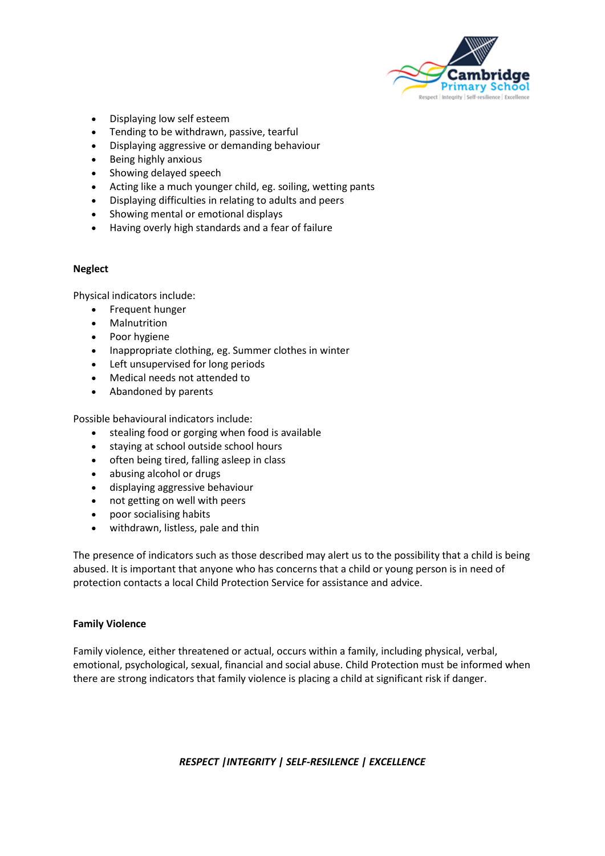

- Displaying low self esteem
- Tending to be withdrawn, passive, tearful
- Displaying aggressive or demanding behaviour
- Being highly anxious
- Showing delayed speech
- Acting like a much younger child, eg. soiling, wetting pants
- Displaying difficulties in relating to adults and peers
- Showing mental or emotional displays
- Having overly high standards and a fear of failure

#### **Neglect**

Physical indicators include:

- Frequent hunger
- Malnutrition
- Poor hygiene
- Inappropriate clothing, eg. Summer clothes in winter
- Left unsupervised for long periods
- Medical needs not attended to
- Abandoned by parents

Possible behavioural indicators include:

- stealing food or gorging when food is available
- staying at school outside school hours
- often being tired, falling asleep in class
- abusing alcohol or drugs
- displaying aggressive behaviour
- not getting on well with peers
- poor socialising habits
- withdrawn, listless, pale and thin

The presence of indicators such as those described may alert us to the possibility that a child is being abused. It is important that anyone who has concerns that a child or young person is in need of protection contacts a local Child Protection Service for assistance and advice.

#### **Family Violence**

Family violence, either threatened or actual, occurs within a family, including physical, verbal, emotional, psychological, sexual, financial and social abuse. Child Protection must be informed when there are strong indicators that family violence is placing a child at significant risk if danger.